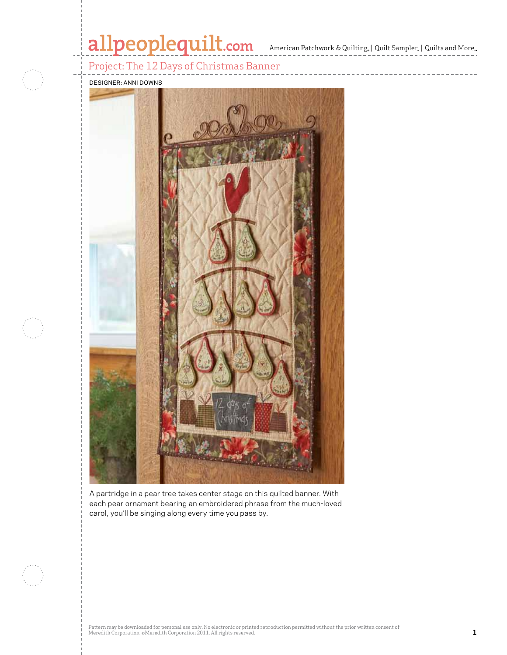# allpeoplequilt.com<br>American Patchwork & Quilting, | Quilt Sampler, | Quilts and More..

------------

Project: The 12 Days of Christmas Banner



designer: anni downs



A partridge in a pear tree takes center stage on this quilted banner. With each pear ornament bearing an embroidered phrase from the much-loved carol, you'll be singing along every time you pass by.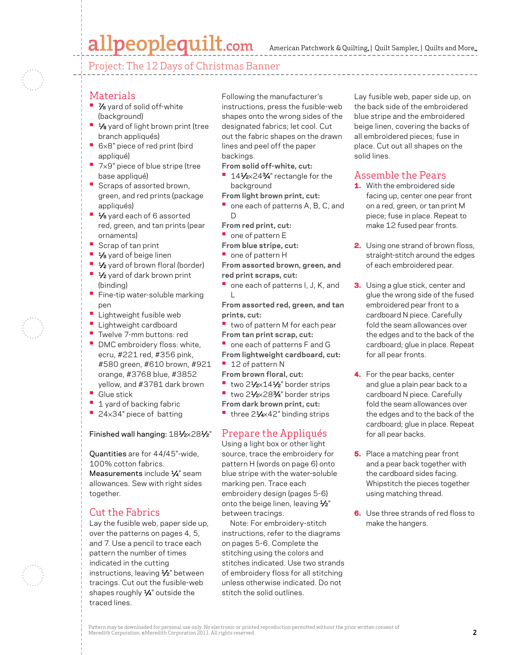## allpeoplequilt.com

American Patchwork & Quilting, | Quilt Sampler, | Quilts and More...



#### Materials

- **7/8** yard of solid off-white (background)
- **•**  $\frac{1}{8}$  yard of light brown print (tree branch appliqués)
- **•**  <sup>6</sup>×8" piece of red print (bird appliqué)
- 7×9" piece of blue stripe (tree base appliqué)
- **•** Scraps of assorted brown, green, and red prints (package appliqués)
- **1/8** yard each of 6 assorted red, green, and tan prints (pear ornaments)
- **•**  Scrap of tan print
- **1/8** yard of beige linen
- **•** 1⁄2 yard of brown floral (border)
- **1⁄2** yard of dark brown print (binding)
- **•** Fine-tip water-soluble marking pen
- **Lightweight fusible web**
- **•**  Lightweight cardboard
- **•**  Twelve 7-mm buttons: red
- **DMC embroidery floss: white,** ecru, #221 red, #356 pink, #580 green, #610 brown, #921 orange, #3768 blue, #3852 yellow, and #3781 dark brown
- **•**  Glue stick
- **1** 1 yard of backing fabric
- **•**  <sup>24</sup>×34" piece of batting

#### Finished wall hanging:  $18\frac{1}{2} \times 28\frac{1}{2}$ "

Quantities are for 44/45"-wide, 100% cotton fabrics.

Measurements include 1/4" seam allowances. Sew with right sides together.

#### Cut the Fabrics

Lay the fusible web, paper side up, over the patterns on pages 4, 5, and 7. Use a pencil to trace each pattern the number of times indicated in the cutting instructions, leaving 1/2" between tracings. Cut out the fusible-web shapes roughly  $\frac{1}{4}$ " outside the traced lines.

Following the manufacturer's instructions, press the fusible-web shapes onto the wrong sides of the designated fabrics; let cool. Cut out the fabric shapes on the drawn lines and peel off the paper backings.

- **From solid off-white, cut:**
- **141⁄2×243⁄4**" rectangle for the background
- **From light brown print, cut:**
	- one each of patterns A, B, C, and  $\Box$

**From red print, cut:**

- **•** one of pattern E
- **From blue stripe, cut:**
- **•**  one of pattern H

**From assorted brown, green, and red print scraps, cut:**

**•** one each of patterns I, J, K, and L

**From assorted red, green, and tan prints, cut:**

- **•** two of pattern M for each pear **From tan print scrap, cut:**
- **•** one each of patterns F and G
- **From lightweight cardboard, cut:**
- **•**  12 of pattern N
- **From brown floral, cut:**
- two 21⁄2×141⁄2" border strips
- two 21⁄2×283⁄4" border strips
- **From dark brown print, cut:**
- three 21⁄4×42" binding strips

#### Prepare the Appliqués

Using a light box or other light source, trace the embroidery for pattern H (words on page 6) onto blue stripe with the water-soluble marking pen. Trace each embroidery design (pages 5-6) onto the beige linen, leaving 1/2" between tracings.

Note: For embroidery-stitch instructions, refer to the diagrams on pages 5-6. Complete the stitching using the colors and stitches indicated. Use two strands of embroidery floss for all stitching unless otherwise indicated. Do not stitch the solid outlines.

Lay fusible web, paper side up, on the back side of the embroidered blue stripe and the embroidered beige linen, covering the backs of all embroidered pieces; fuse in place. Cut out all shapes on the solid lines.

#### Assemble the Pears

- 1. With the embroidered side facing up, center one pear front on a red, green, or tan print M piece; fuse in place. Repeat to make 12 fused pear fronts.
- 2. Using one strand of brown floss, straight-stitch around the edges of each embroidered pear.
- **3.** Using a glue stick, center and glue the wrong side of the fused embroidered pear front to a cardboard N piece. Carefully fold the seam allowances over the edges and to the back of the cardboard; glue in place. Repeat for all pear fronts.
- 4. For the pear backs, center and glue a plain pear back to a cardboard N piece. Carefully fold the seam allowances over the edges and to the back of the cardboard; glue in place. Repeat for all pear backs.
- **5.** Place a matching pear front and a pear back together with the cardboard sides facing. Whipstitch the pieces together using matching thread.
- **6.** Use three strands of red floss to make the hangers.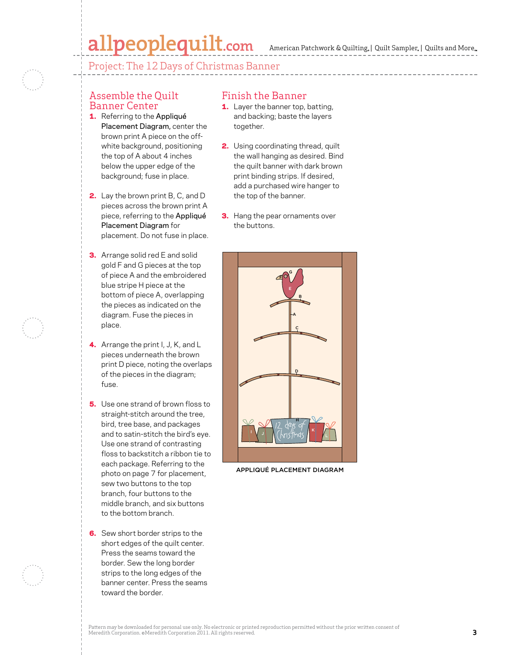# $\textbf{all people} \textbf{quilt}.\textbf{com}$  American Patchwork & Quilting, | Quilt Sampler, | Quilts and More...

Project: The 12 Days of Christmas Banner

#### Assemble the Quilt Banner Center

- 1. Referring to the Appliqué Placement Diagram, center the brown print A piece on the offwhite background, positioning the top of A about 4 inches below the upper edge of the background; fuse in place.
- **2.** Lay the brown print B, C, and D pieces across the brown print A piece, referring to the Appliqué Placement Diagram for placement. Do not fuse in place.
- **3.** Arrange solid red E and solid gold F and G pieces at the top of piece A and the embroidered blue stripe H piece at the bottom of piece A, overlapping the pieces as indicated on the diagram. Fuse the pieces in place.
- 4. Arrange the print I, J, K, and L pieces underneath the brown print D piece, noting the overlaps of the pieces in the diagram; fuse.
- **5.** Use one strand of brown floss to straight-stitch around the tree, bird, tree base, and packages and to satin-stitch the bird's eye. Use one strand of contrasting floss to backstitch a ribbon tie to each package. Referring to the photo on page 7 for placement, sew two buttons to the top branch, four buttons to the middle branch, and six buttons to the bottom branch.
- **6.** Sew short border strips to the short edges of the quilt center. Press the seams toward the border. Sew the long border strips to the long edges of the banner center. Press the seams toward the border.

#### Finish the Banner

- 1. Layer the banner top, batting, and backing; baste the layers together.
- **2.** Using coordinating thread, quilt the wall hanging as desired. Bind the quilt banner with dark brown print binding strips. If desired, add a purchased wire hanger to the top of the banner.
- **3.** Hang the pear ornaments over the buttons.



APPLIQUÉ PLACEMENT DIAGRAM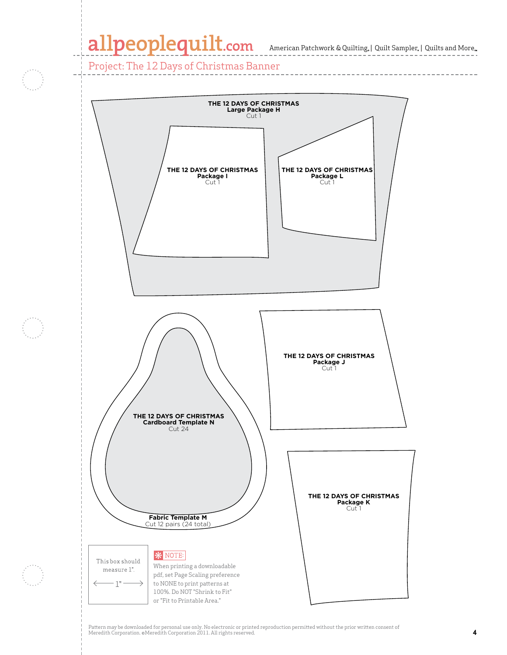# **Package L** Cut 1

**THE 12 DAYS OF CHRISTMAS**

Cut 1

Project: The 12 Days of Christmas Banner



Pattern may be downloaded for personal use only. No electronic or printed reproduction permitted without the prior written consent of rattern may be downloaded for personal use only. No electronic or printed reproduction permitted without the prior written consent or<br>I Meredith Corporation. @Meredith Corporation 2011. All rights reserved.<br>'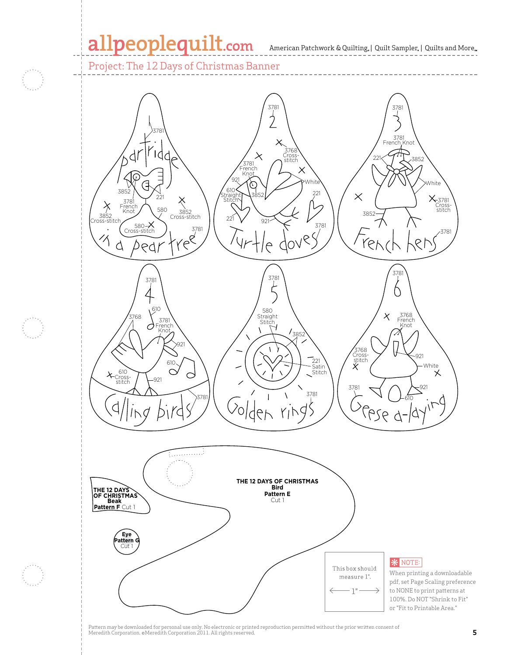### allpeoplequilt.com

American Patchwork & Quilting,  $|$  Quilt Sampler,  $|$  Quilts and More,

#### Project: The 12 Days of Christmas Banner



Meredith Corporation. ©Meredith Corporation 2011. All rights reserved. **5**<br>Meredith Corporation. ©Meredith Corporation 2011. All rights reserved.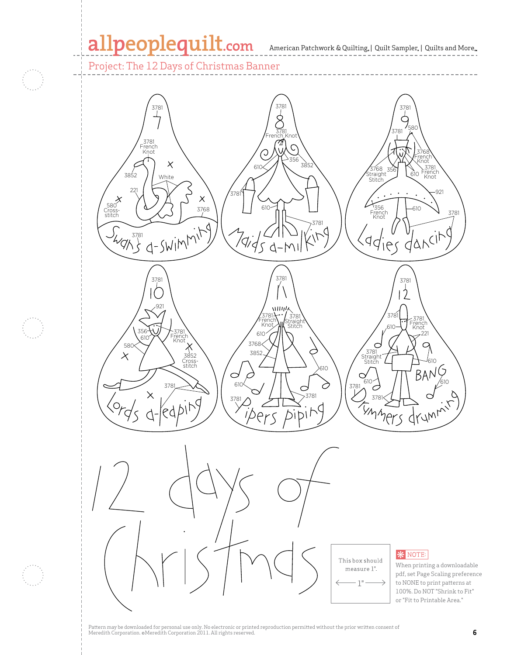#### 11 a  $\Omega$

**Large Package H**

**Package I** Cut 1

American Patchwork & Quilting | Quilt Sampler | Quilts and More 3781 ting. | Ouilt Sampler. | Oui

Project: The 12 Days of Christmas Banner **THE 12 DAYS OF CHRISTMAS Package L** Cut 1



Pattern may be downloaded for personal use only. No electronic or printed reproduction permitted without the prior written consent of Meredith Corporation. ©Meredith Corporation 2011. All rights reserved. **6**<br>Meredith Corporation. ©Meredith Corporation 2011. All rights reserved.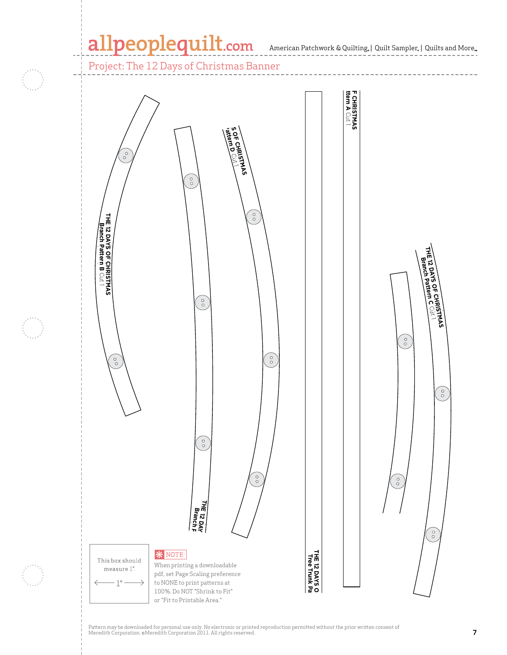### allpeoplequilt.com American Patchwork & Quilting, | Quilt Sampler, | Quilts and More..

### Project: The 12 Days of Christmas Banner



,<br>Pattern may be downloaded for personal use only. No electronic or printed reproduction permitted without the prior written consent of Meredith Corporation. ©Meredith Corporation 2011. All rights reserved. **7**